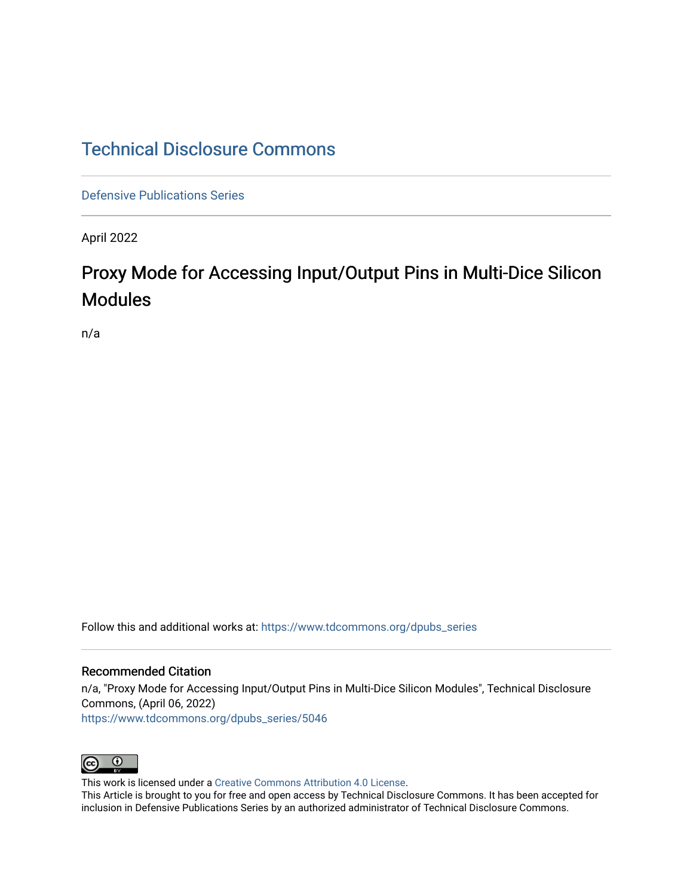## [Technical Disclosure Commons](https://www.tdcommons.org/)

[Defensive Publications Series](https://www.tdcommons.org/dpubs_series)

April 2022

# Proxy Mode for Accessing Input/Output Pins in Multi-Dice Silicon Modules

n/a

Follow this and additional works at: [https://www.tdcommons.org/dpubs\\_series](https://www.tdcommons.org/dpubs_series?utm_source=www.tdcommons.org%2Fdpubs_series%2F5046&utm_medium=PDF&utm_campaign=PDFCoverPages) 

### Recommended Citation

n/a, "Proxy Mode for Accessing Input/Output Pins in Multi-Dice Silicon Modules", Technical Disclosure Commons, (April 06, 2022) [https://www.tdcommons.org/dpubs\\_series/5046](https://www.tdcommons.org/dpubs_series/5046?utm_source=www.tdcommons.org%2Fdpubs_series%2F5046&utm_medium=PDF&utm_campaign=PDFCoverPages)



This work is licensed under a [Creative Commons Attribution 4.0 License](http://creativecommons.org/licenses/by/4.0/deed.en_US).

This Article is brought to you for free and open access by Technical Disclosure Commons. It has been accepted for inclusion in Defensive Publications Series by an authorized administrator of Technical Disclosure Commons.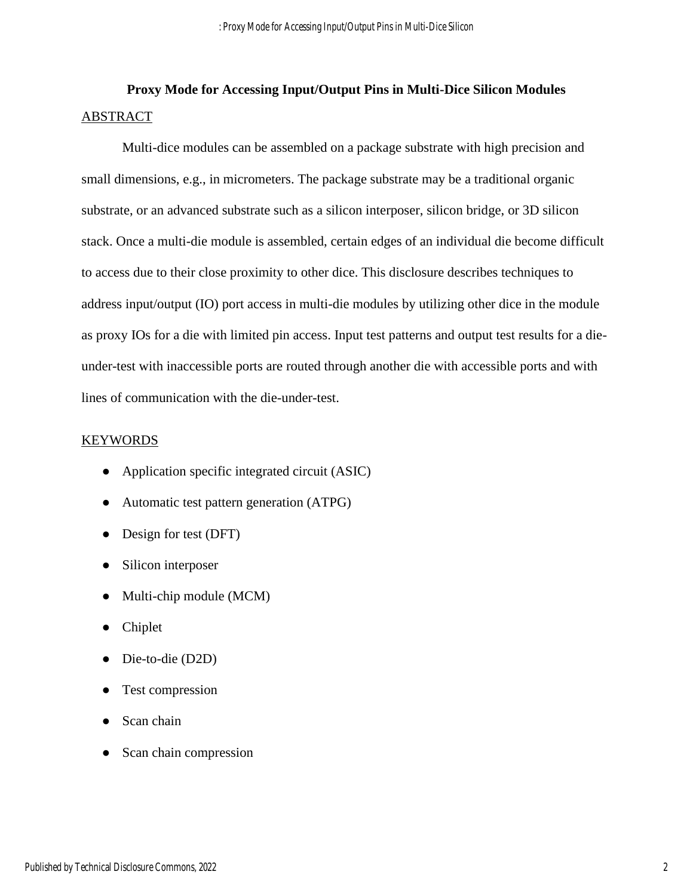## **Proxy Mode for Accessing Input/Output Pins in Multi-Dice Silicon Modules** ABSTRACT

Multi-dice modules can be assembled on a package substrate with high precision and small dimensions, e.g., in micrometers. The package substrate may be a traditional organic substrate, or an advanced substrate such as a silicon interposer, silicon bridge, or 3D silicon stack. Once a multi-die module is assembled, certain edges of an individual die become difficult to access due to their close proximity to other dice. This disclosure describes techniques to address input/output (IO) port access in multi-die modules by utilizing other dice in the module as proxy IOs for a die with limited pin access. Input test patterns and output test results for a dieunder-test with inaccessible ports are routed through another die with accessible ports and with lines of communication with the die-under-test.

#### KEYWORDS

- Application specific integrated circuit (ASIC)
- Automatic test pattern generation (ATPG)
- Design for test (DFT)
- Silicon interposer
- Multi-chip module (MCM)
- Chiplet
- Die-to-die (D2D)
- Test compression
- Scan chain
- Scan chain compression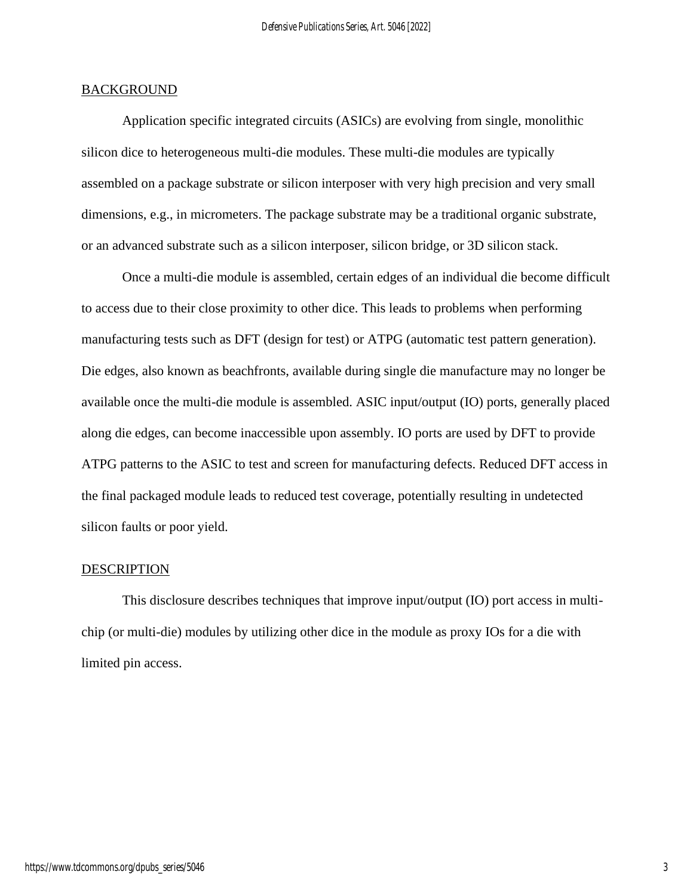#### **BACKGROUND**

Application specific integrated circuits (ASICs) are evolving from single, monolithic silicon dice to heterogeneous multi-die modules. These multi-die modules are typically assembled on a package substrate or silicon interposer with very high precision and very small dimensions, e.g., in micrometers. The package substrate may be a traditional organic substrate, or an advanced substrate such as a silicon interposer, silicon bridge, or 3D silicon stack.

Once a multi-die module is assembled, certain edges of an individual die become difficult to access due to their close proximity to other dice. This leads to problems when performing manufacturing tests such as DFT (design for test) or ATPG (automatic test pattern generation). Die edges, also known as beachfronts, available during single die manufacture may no longer be available once the multi-die module is assembled. ASIC input/output (IO) ports, generally placed along die edges, can become inaccessible upon assembly. IO ports are used by DFT to provide ATPG patterns to the ASIC to test and screen for manufacturing defects. Reduced DFT access in the final packaged module leads to reduced test coverage, potentially resulting in undetected silicon faults or poor yield.

#### DESCRIPTION

This disclosure describes techniques that improve input/output (IO) port access in multichip (or multi-die) modules by utilizing other dice in the module as proxy IOs for a die with limited pin access.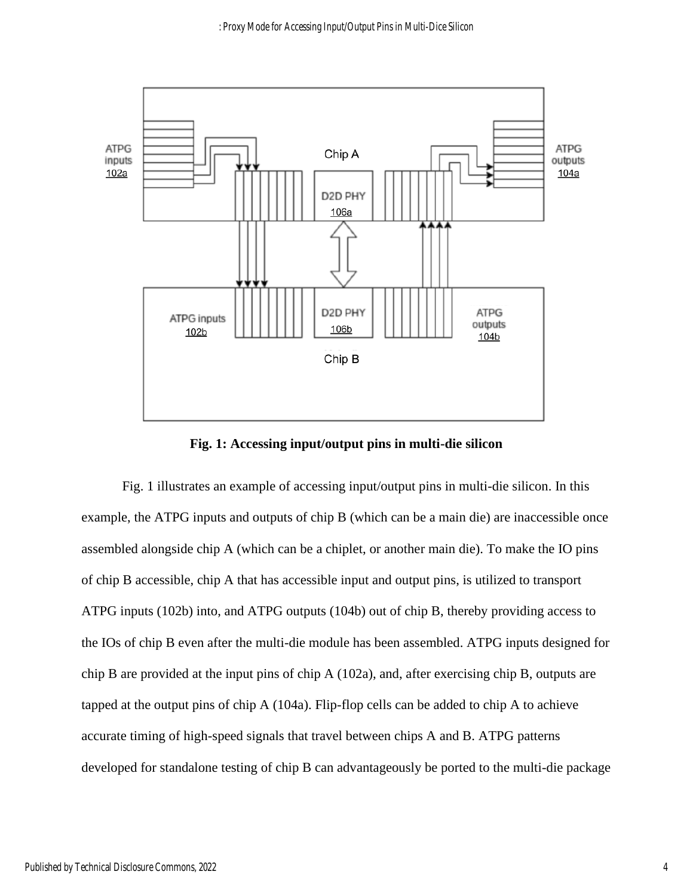

**Fig. 1: Accessing input/output pins in multi-die silicon**

Fig. 1 illustrates an example of accessing input/output pins in multi-die silicon. In this example, the ATPG inputs and outputs of chip B (which can be a main die) are inaccessible once assembled alongside chip A (which can be a chiplet, or another main die). To make the IO pins of chip B accessible, chip A that has accessible input and output pins, is utilized to transport ATPG inputs (102b) into, and ATPG outputs (104b) out of chip B, thereby providing access to the IOs of chip B even after the multi-die module has been assembled. ATPG inputs designed for chip B are provided at the input pins of chip A (102a), and, after exercising chip B, outputs are tapped at the output pins of chip A (104a). Flip-flop cells can be added to chip A to achieve accurate timing of high-speed signals that travel between chips A and B. ATPG patterns developed for standalone testing of chip B can advantageously be ported to the multi-die package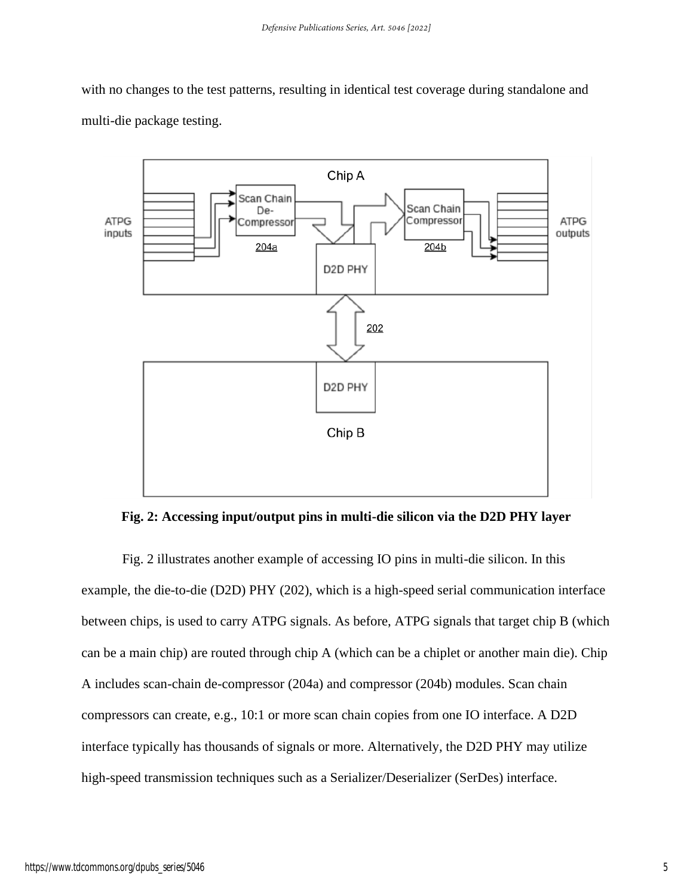with no changes to the test patterns, resulting in identical test coverage during standalone and multi-die package testing.



**Fig. 2: Accessing input/output pins in multi-die silicon via the D2D PHY layer**

Fig. 2 illustrates another example of accessing IO pins in multi-die silicon. In this example, the die-to-die (D2D) PHY (202), which is a high-speed serial communication interface between chips, is used to carry ATPG signals. As before, ATPG signals that target chip B (which can be a main chip) are routed through chip A (which can be a chiplet or another main die). Chip A includes scan-chain de-compressor (204a) and compressor (204b) modules. Scan chain compressors can create, e.g., 10:1 or more scan chain copies from one IO interface. A D2D interface typically has thousands of signals or more. Alternatively, the D2D PHY may utilize high-speed transmission techniques such as a Serializer/Deserializer (SerDes) interface.